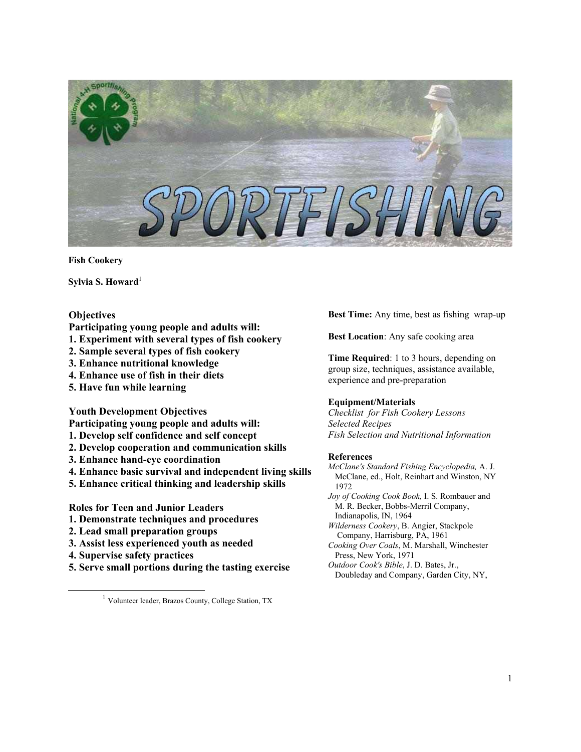

**Fish Cookery**

**Sylvia S. Howard**<sup>[1](#page-0-0)</sup>

## **Objectives**

- **Participating young people and adults will:**
- **1. Experiment with several types of fish cookery**
- **2. Sample several types of fish cookery**
- **3. Enhance nutritional knowledge**
- **4. Enhance use of fish in their diets**
- **5. Have fun while learning**

#### **Youth Development Objectives**

**Participating young people and adults will:** 

- **1. Develop self confidence and self concept**
- **2. Develop cooperation and communication skills**
- **3. Enhance hand-eye coordination**
- **4. Enhance basic survival and independent living skills**
- **5. Enhance critical thinking and leadership skills**

**Roles for Teen and Junior Leaders** 

- **1. Demonstrate techniques and procedures**
- **2. Lead small preparation groups**
- **3. Assist less experienced youth as needed**
- **4. Supervise safety practices**
- **5. Serve small portions during the tasting exercise**

<span id="page-0-0"></span>1 Volunteer leader, Brazos County, College Station, TX

**Best Time:** Any time, best as fishing wrap-up

**Best Location**: Any safe cooking area

**Time Required**: 1 to 3 hours, depending on group size, techniques, assistance available, experience and pre-preparation

#### **Equipment/Materials**

*Checklist for Fish Cookery Lessons Selected Recipes Fish Selection and Nutritional Information*

#### **References**

*McClane's Standard Fishing Encyclopedia,* A. J. McClane, ed., Holt, Reinhart and Winston, NY 1972

*Joy of Cooking Cook Book,* I. S. Rombauer and M. R. Becker, Bobbs-Merril Company, Indianapolis, IN, 1964

*Wilderness Cookery*, B. Angier, Stackpole Company, Harrisburg, PA, 1961

- *Cooking Over Coals*, M. Marshall, Winchester Press, New York, 1971
- *Outdoor Cook's Bible*, J. D. Bates, Jr., Doubleday and Company, Garden City, NY,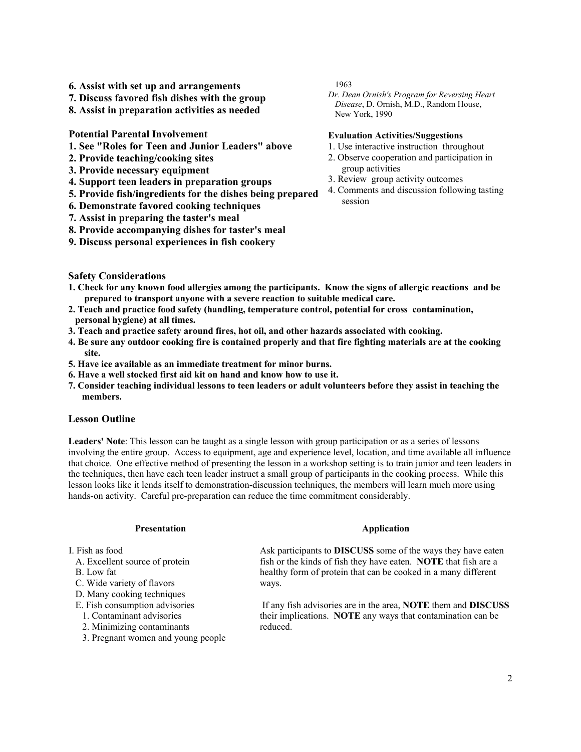- **6. Assist with set up and arrangements**
- **7. Discuss favored fish dishes with the group**
- **8. Assist in preparation activities as needed**

**Potential Parental Involvement** 

- **1. See "Roles for Teen and Junior Leaders" above**
- **2. Provide teaching/cooking sites**
- **3. Provide necessary equipment**
- **4. Support teen leaders in preparation groups**
- **5. Provide fish/ingredients for the dishes being prepared**
- **6. Demonstrate favored cooking techniques**
- **7. Assist in preparing the taster's meal**
- **8. Provide accompanying dishes for taster's meal**
- **9. Discuss personal experiences in fish cookery**

1963

*Dr. Dean Ornish's Program for Reversing Heart Disease*, D. Ornish, M.D., Random House, New York, 1990

### **Evaluation Activities/Suggestions**

- 1. Use interactive instruction throughout
- 2. Observe cooperation and participation in group activities
- 3. Review group activity outcomes
- 4. Comments and discussion following tasting session

### **Safety Considerations**

- **1. Check for any known food allergies among the participants. Know the signs of allergic reactions and be prepared to transport anyone with a severe reaction to suitable medical care.**
- **2. Teach and practice food safety (handling, temperature control, potential for cross contamination, personal hygiene) at all times.**
- **3. Teach and practice safety around fires, hot oil, and other hazards associated with cooking.**
- **4. Be sure any outdoor cooking fire is contained properly and that fire fighting materials are at the cooking site.**
- **5. Have ice available as an immediate treatment for minor burns.**
- **6. Have a well stocked first aid kit on hand and know how to use it.**
- **7. Consider teaching individual lessons to teen leaders or adult volunteers before they assist in teaching the members.**

### **Lesson Outline**

**Leaders' Note**: This lesson can be taught as a single lesson with group participation or as a series of lessons involving the entire group. Access to equipment, age and experience level, location, and time available all influence that choice. One effective method of presenting the lesson in a workshop setting is to train junior and teen leaders in the techniques, then have each teen leader instruct a small group of participants in the cooking process. While this lesson looks like it lends itself to demonstration-discussion techniques, the members will learn much more using hands-on activity. Careful pre-preparation can reduce the time commitment considerably.

#### **Presentation**

I. Fish as food

- A. Excellent source of protein
- B. Low fat
- C. Wide variety of flavors
- D. Many cooking techniques
- E. Fish consumption advisories
- 1. Contaminant advisories
- 2. Minimizing contaminants
- 3. Pregnant women and young people

## **Application**

Ask participants to **DISCUSS** some of the ways they have eaten fish or the kinds of fish they have eaten. **NOTE** that fish are a healthy form of protein that can be cooked in a many different ways.

 If any fish advisories are in the area, **NOTE** them and **DISCUSS** their implications. **NOTE** any ways that contamination can be reduced.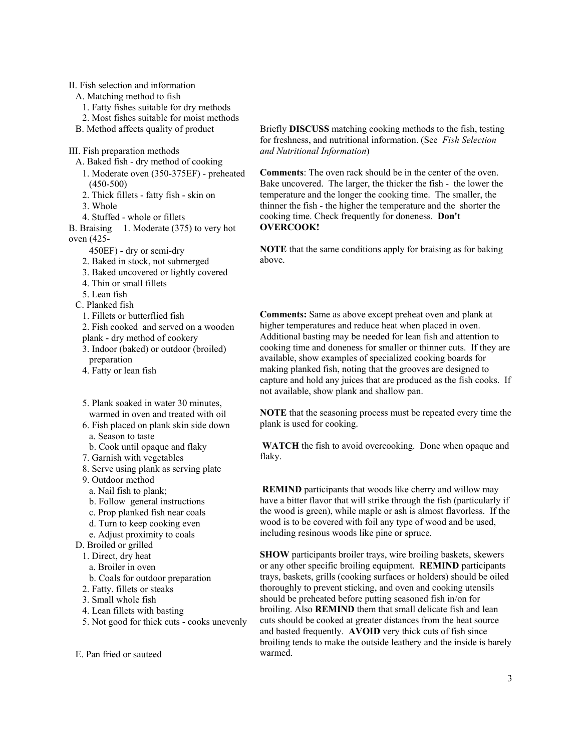II. Fish selection and information

- A. Matching method to fish
- 1. Fatty fishes suitable for dry methods
- 2. Most fishes suitable for moist methods
- B. Method affects quality of product

III. Fish preparation methods

- A. Baked fish dry method of cooking
- 1. Moderate oven (350-375ΕF) preheated (450-500)
- 2. Thick fillets fatty fish skin on
- 3. Whole

4. Stuffed - whole or fillets

B. Braising 1. Moderate (375) to very hot oven (425-

- 450ΕF) dry or semi-dry
- 2. Baked in stock, not submerged
- 3. Baked uncovered or lightly covered
- 4. Thin or small fillets
- 5. Lean fish
- C. Planked fish

1. Fillets or butterflied fish

- 2. Fish cooked and served on a wooden plank - dry method of cookery
- 3. Indoor (baked) or outdoor (broiled) preparation
- 4. Fatty or lean fish
- 5. Plank soaked in water 30 minutes, warmed in oven and treated with oil
- 6. Fish placed on plank skin side down a. Season to taste
- b. Cook until opaque and flaky
- 7. Garnish with vegetables
- 8. Serve using plank as serving plate
- 9. Outdoor method
- a. Nail fish to plank;
- b. Follow general instructions
- c. Prop planked fish near coals
- d. Turn to keep cooking even
- e. Adjust proximity to coals
- D. Broiled or grilled
	- 1. Direct, dry heat
	- a. Broiler in oven
	- b. Coals for outdoor preparation
	- 2. Fatty. fillets or steaks
	- 3. Small whole fish
	- 4. Lean fillets with basting
	- 5. Not good for thick cuts cooks unevenly

E. Pan fried or sauteed

Briefly **DISCUSS** matching cooking methods to the fish, testing for freshness, and nutritional information. (See *Fish Selection and Nutritional Information*)

**Comments**: The oven rack should be in the center of the oven. Bake uncovered. The larger, the thicker the fish - the lower the temperature and the longer the cooking time. The smaller, the thinner the fish - the higher the temperature and the shorter the cooking time. Check frequently for doneness. **Don't OVERCOOK!**

**NOTE** that the same conditions apply for braising as for baking above.

**Comments:** Same as above except preheat oven and plank at higher temperatures and reduce heat when placed in oven. Additional basting may be needed for lean fish and attention to cooking time and doneness for smaller or thinner cuts. If they are available, show examples of specialized cooking boards for making planked fish, noting that the grooves are designed to capture and hold any juices that are produced as the fish cooks. If not available, show plank and shallow pan.

**NOTE** that the seasoning process must be repeated every time the plank is used for cooking.

**WATCH** the fish to avoid overcooking. Done when opaque and flaky.

**REMIND** participants that woods like cherry and willow may have a bitter flavor that will strike through the fish (particularly if the wood is green), while maple or ash is almost flavorless. If the wood is to be covered with foil any type of wood and be used, including resinous woods like pine or spruce.

**SHOW** participants broiler trays, wire broiling baskets, skewers or any other specific broiling equipment. **REMIND** participants trays, baskets, grills (cooking surfaces or holders) should be oiled thoroughly to prevent sticking, and oven and cooking utensils should be preheated before putting seasoned fish in/on for broiling. Also **REMIND** them that small delicate fish and lean cuts should be cooked at greater distances from the heat source and basted frequently. **AVOID** very thick cuts of fish since broiling tends to make the outside leathery and the inside is barely warmed.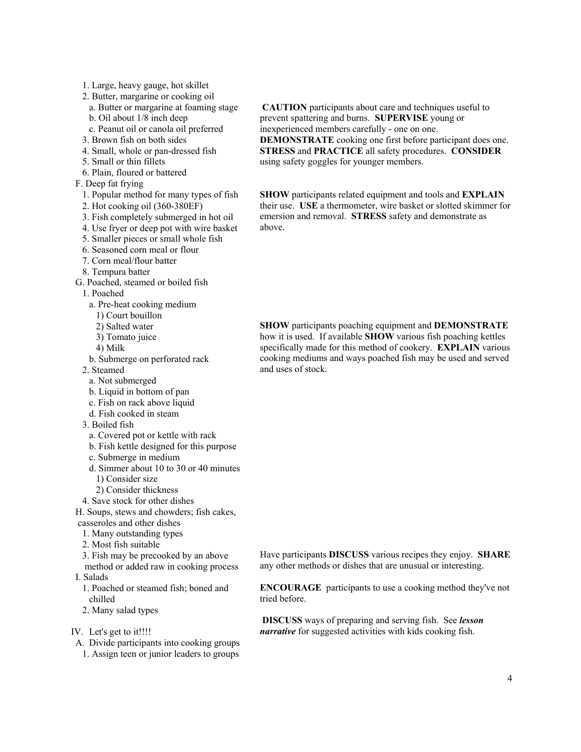- 1. Large, heavy gauge, hot skillet
- 2. Butter, margarine or cooking oil
- a. Butter or margarine at foaming stage
- b. Oil about 1/8 inch deep
- c. Peanut oil or canola oil preferred
- 3. Brown fish on both sides
- 4. Small, whole or pan-dressed fish
- 5. Small or thin fillets
- 6. Plain, floured or battered
- F. Deep fat frying
	- 1. Popular method for many types of fish
- 2. Hot cooking oil (360-380ΕF)
- 3. Fish completely submerged in hot oil
- 4. Use fryer or deep pot with wire basket
- 5. Smaller pieces or small whole fish
- 6. Seasoned corn meal or flour
- 7. Corn meal/flour batter
- 8. Tempura batter
- G. Poached, steamed or boiled fish
- 1. Poached
	- a. Pre-heat cooking medium
	- 1) Court bouillon
	- 2) Salted water
	- 3) Tomato juice
	- 4) Milk
	- b. Submerge on perforated rack
- 2. Steamed
	- a. Not submerged
	- b. Liquid in bottom of pan
	- c. Fish on rack above liquid
- d. Fish cooked in steam
- 3. Boiled fish
	- a. Covered pot or kettle with rack
	- b. Fish kettle designed for this purpose
	- c. Submerge in medium
	- d. Simmer about 10 to 30 or 40 minutes 1) Consider size
	- 2) Consider thickness
- 4. Save stock for other dishes

H. Soups, stews and chowders; fish cakes, casseroles and other dishes

- 1. Many outstanding types
- 2. Most fish suitable
- 3. Fish may be precooked by an above

 method or added raw in cooking process I. Salads

- 1. Poached or steamed fish; boned and chilled
- 2. Many salad types
- IV. Let's get to it!!!!
- A. Divide participants into cooking groups 1. Assign teen or junior leaders to groups

 **CAUTION** participants about care and techniques useful to prevent spattering and burns. **SUPERVISE** young or inexperienced members carefully - one on one. **DEMONSTRATE** cooking one first before participant does one. **STRESS** and **PRACTICE** all safety procedures. **CONSIDER** using safety goggles for younger members.

**SHOW** participants related equipment and tools and **EXPLAIN** their use. **USE** a thermometer, wire basket or slotted skimmer for emersion and removal. **STRESS** safety and demonstrate as above.

**SHOW** participants poaching equipment and **DEMONSTRATE** how it is used. If available **SHOW** various fish poaching kettles specifically made for this method of cookery. **EXPLAIN** various cooking mediums and ways poached fish may be used and served and uses of stock.

Have participants **DISCUSS** various recipes they enjoy. **SHARE** any other methods or dishes that are unusual or interesting.

**ENCOURAGE** participants to use a cooking method they've not tried before.

 **DISCUSS** ways of preparing and serving fish. See *lesson narrative* for suggested activities with kids cooking fish.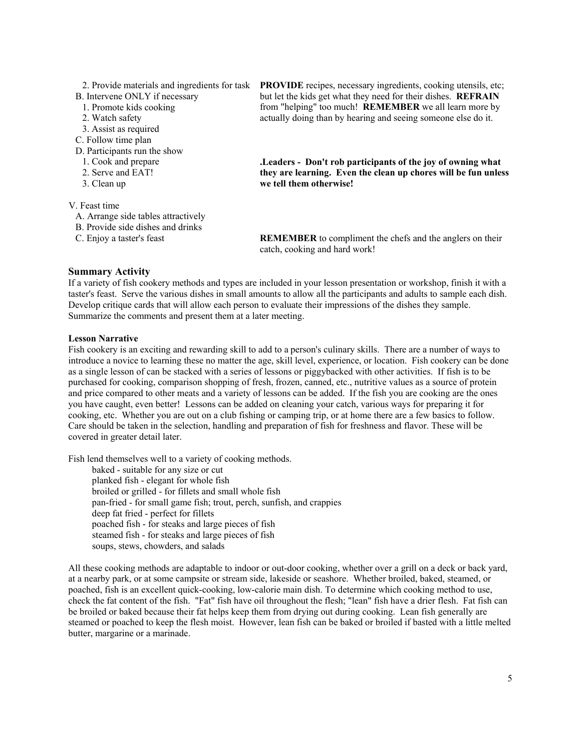| 2. Provide materials and ingredients for task | <b>PROVIDE</b> recipes, necessary ingredients, cooking utensils, etc; |
|-----------------------------------------------|-----------------------------------------------------------------------|
| B. Intervene ONLY if necessary                | but let the kids get what they need for their dishes. REFRAIN         |
| 1. Promote kids cooking                       | from "helping" too much! <b>REMEMBER</b> we all learn more by         |
| 2. Watch safety                               | actually doing than by hearing and seeing someone else do it.         |
| 3. Assist as required                         |                                                                       |
| C. Follow time plan                           |                                                                       |
| D. Participants run the show                  |                                                                       |
| 1. Cook and prepare                           | Leaders - Don't rob participants of the joy of owning what            |
| 2. Serve and EAT!                             | they are learning. Even the clean up chores will be fun unless        |
| 3. Clean up                                   | we tell them otherwise!                                               |
| V. Feast time                                 |                                                                       |

A. Arrange side tables attractively B. Provide side dishes and drinks

C. Enjoy a taster's feast

**REMEMBER** to compliment the chefs and the anglers on their catch, cooking and hard work!

## **Summary Activity**

If a variety of fish cookery methods and types are included in your lesson presentation or workshop, finish it with a taster's feast. Serve the various dishes in small amounts to allow all the participants and adults to sample each dish. Develop critique cards that will allow each person to evaluate their impressions of the dishes they sample. Summarize the comments and present them at a later meeting.

### **Lesson Narrative**

Fish cookery is an exciting and rewarding skill to add to a person's culinary skills. There are a number of ways to introduce a novice to learning these no matter the age, skill level, experience, or location. Fish cookery can be done as a single lesson of can be stacked with a series of lessons or piggybacked with other activities. If fish is to be purchased for cooking, comparison shopping of fresh, frozen, canned, etc., nutritive values as a source of protein and price compared to other meats and a variety of lessons can be added. If the fish you are cooking are the ones you have caught, even better! Lessons can be added on cleaning your catch, various ways for preparing it for cooking, etc. Whether you are out on a club fishing or camping trip, or at home there are a few basics to follow. Care should be taken in the selection, handling and preparation of fish for freshness and flavor. These will be covered in greater detail later.

Fish lend themselves well to a variety of cooking methods.

 baked - suitable for any size or cut planked fish - elegant for whole fish broiled or grilled - for fillets and small whole fish pan-fried - for small game fish; trout, perch, sunfish, and crappies deep fat fried - perfect for fillets poached fish - for steaks and large pieces of fish steamed fish - for steaks and large pieces of fish soups, stews, chowders, and salads

All these cooking methods are adaptable to indoor or out-door cooking, whether over a grill on a deck or back yard, at a nearby park, or at some campsite or stream side, lakeside or seashore. Whether broiled, baked, steamed, or poached, fish is an excellent quick-cooking, low-calorie main dish. To determine which cooking method to use, check the fat content of the fish. "Fat" fish have oil throughout the flesh; "lean" fish have a drier flesh. Fat fish can be broiled or baked because their fat helps keep them from drying out during cooking. Lean fish generally are steamed or poached to keep the flesh moist. However, lean fish can be baked or broiled if basted with a little melted butter, margarine or a marinade.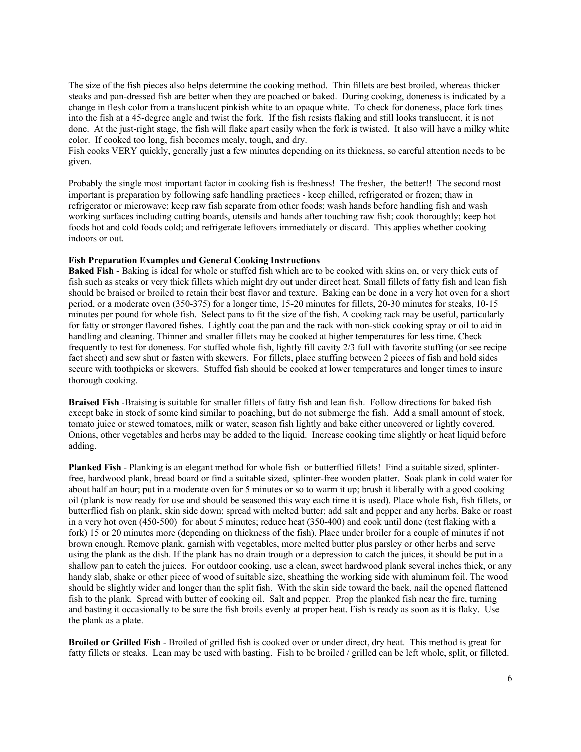The size of the fish pieces also helps determine the cooking method. Thin fillets are best broiled, whereas thicker steaks and pan-dressed fish are better when they are poached or baked. During cooking, doneness is indicated by a change in flesh color from a translucent pinkish white to an opaque white. To check for doneness, place fork tines into the fish at a 45-degree angle and twist the fork. If the fish resists flaking and still looks translucent, it is not done. At the just-right stage, the fish will flake apart easily when the fork is twisted. It also will have a milky white color. If cooked too long, fish becomes mealy, tough, and dry.

Fish cooks VERY quickly, generally just a few minutes depending on its thickness, so careful attention needs to be given.

Probably the single most important factor in cooking fish is freshness! The fresher, the better!! The second most important is preparation by following safe handling practices - keep chilled, refrigerated or frozen; thaw in refrigerator or microwave; keep raw fish separate from other foods; wash hands before handling fish and wash working surfaces including cutting boards, utensils and hands after touching raw fish; cook thoroughly; keep hot foods hot and cold foods cold; and refrigerate leftovers immediately or discard. This applies whether cooking indoors or out.

### **Fish Preparation Examples and General Cooking Instructions**

**Baked Fish** - Baking is ideal for whole or stuffed fish which are to be cooked with skins on, or very thick cuts of fish such as steaks or very thick fillets which might dry out under direct heat. Small fillets of fatty fish and lean fish should be braised or broiled to retain their best flavor and texture. Baking can be done in a very hot oven for a short period, or a moderate oven (350-375) for a longer time, 15-20 minutes for fillets, 20-30 minutes for steaks, 10-15 minutes per pound for whole fish. Select pans to fit the size of the fish. A cooking rack may be useful, particularly for fatty or stronger flavored fishes. Lightly coat the pan and the rack with non-stick cooking spray or oil to aid in handling and cleaning. Thinner and smaller fillets may be cooked at higher temperatures for less time. Check frequently to test for doneness. For stuffed whole fish, lightly fill cavity 2/3 full with favorite stuffing (or see recipe fact sheet) and sew shut or fasten with skewers. For fillets, place stuffing between 2 pieces of fish and hold sides secure with toothpicks or skewers. Stuffed fish should be cooked at lower temperatures and longer times to insure thorough cooking.

**Braised Fish** -Braising is suitable for smaller fillets of fatty fish and lean fish. Follow directions for baked fish except bake in stock of some kind similar to poaching, but do not submerge the fish. Add a small amount of stock, tomato juice or stewed tomatoes, milk or water, season fish lightly and bake either uncovered or lightly covered. Onions, other vegetables and herbs may be added to the liquid. Increase cooking time slightly or heat liquid before adding.

**Planked Fish** - Planking is an elegant method for whole fish or butterflied fillets! Find a suitable sized, splinterfree, hardwood plank, bread board or find a suitable sized, splinter-free wooden platter. Soak plank in cold water for about half an hour; put in a moderate oven for 5 minutes or so to warm it up; brush it liberally with a good cooking oil (plank is now ready for use and should be seasoned this way each time it is used). Place whole fish, fish fillets, or butterflied fish on plank, skin side down; spread with melted butter; add salt and pepper and any herbs. Bake or roast in a very hot oven (450-500) for about 5 minutes; reduce heat (350-400) and cook until done (test flaking with a fork) 15 or 20 minutes more (depending on thickness of the fish). Place under broiler for a couple of minutes if not brown enough. Remove plank, garnish with vegetables, more melted butter plus parsley or other herbs and serve using the plank as the dish. If the plank has no drain trough or a depression to catch the juices, it should be put in a shallow pan to catch the juices. For outdoor cooking, use a clean, sweet hardwood plank several inches thick, or any handy slab, shake or other piece of wood of suitable size, sheathing the working side with aluminum foil. The wood should be slightly wider and longer than the split fish. With the skin side toward the back, nail the opened flattened fish to the plank. Spread with butter of cooking oil. Salt and pepper. Prop the planked fish near the fire, turning and basting it occasionally to be sure the fish broils evenly at proper heat. Fish is ready as soon as it is flaky. Use the plank as a plate.

**Broiled or Grilled Fish** - Broiled of grilled fish is cooked over or under direct, dry heat. This method is great for fatty fillets or steaks. Lean may be used with basting. Fish to be broiled / grilled can be left whole, split, or filleted.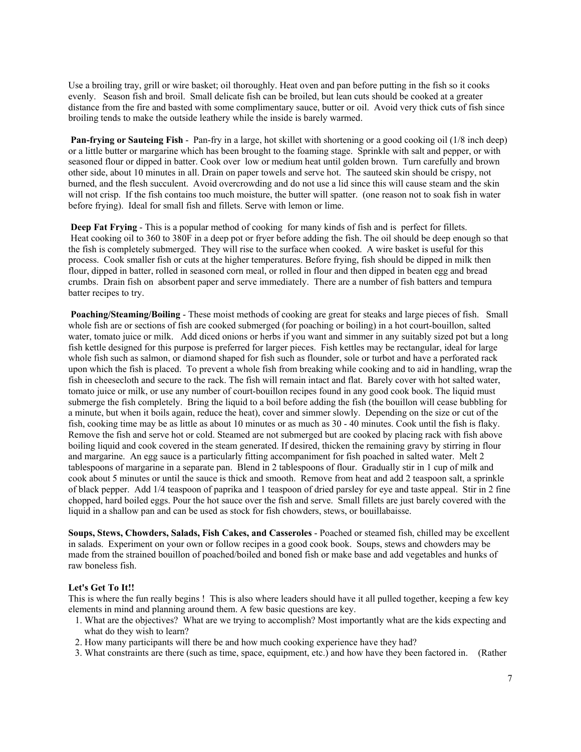Use a broiling tray, grill or wire basket; oil thoroughly. Heat oven and pan before putting in the fish so it cooks evenly. Season fish and broil. Small delicate fish can be broiled, but lean cuts should be cooked at a greater distance from the fire and basted with some complimentary sauce, butter or oil. Avoid very thick cuts of fish since broiling tends to make the outside leathery while the inside is barely warmed.

**Pan-frying or Sauteing Fish** - Pan-fry in a large, hot skillet with shortening or a good cooking oil (1/8 inch deep) or a little butter or margarine which has been brought to the foaming stage. Sprinkle with salt and pepper, or with seasoned flour or dipped in batter. Cook over low or medium heat until golden brown. Turn carefully and brown other side, about 10 minutes in all. Drain on paper towels and serve hot. The sauteed skin should be crispy, not burned, and the flesh succulent. Avoid overcrowding and do not use a lid since this will cause steam and the skin will not crisp. If the fish contains too much moisture, the butter will spatter. (one reason not to soak fish in water before frying). Ideal for small fish and fillets. Serve with lemon or lime.

**Deep Fat Frying** - This is a popular method of cooking for many kinds of fish and is perfect for fillets. Heat cooking oil to 360 to 380F in a deep pot or fryer before adding the fish. The oil should be deep enough so that the fish is completely submerged. They will rise to the surface when cooked. A wire basket is useful for this process. Cook smaller fish or cuts at the higher temperatures. Before frying, fish should be dipped in milk then flour, dipped in batter, rolled in seasoned corn meal, or rolled in flour and then dipped in beaten egg and bread crumbs. Drain fish on absorbent paper and serve immediately. There are a number of fish batters and tempura batter recipes to try.

 **Poaching/Steaming/Boiling** - These moist methods of cooking are great for steaks and large pieces of fish. Small whole fish are or sections of fish are cooked submerged (for poaching or boiling) in a hot court-bouillon, salted water, tomato juice or milk. Add diced onions or herbs if you want and simmer in any suitably sized pot but a long fish kettle designed for this purpose is preferred for larger pieces. Fish kettles may be rectangular, ideal for large whole fish such as salmon, or diamond shaped for fish such as flounder, sole or turbot and have a perforated rack upon which the fish is placed. To prevent a whole fish from breaking while cooking and to aid in handling, wrap the fish in cheesecloth and secure to the rack. The fish will remain intact and flat. Barely cover with hot salted water, tomato juice or milk, or use any number of court-bouillon recipes found in any good cook book. The liquid must submerge the fish completely. Bring the liquid to a boil before adding the fish (the bouillon will cease bubbling for a minute, but when it boils again, reduce the heat), cover and simmer slowly. Depending on the size or cut of the fish, cooking time may be as little as about 10 minutes or as much as 30 - 40 minutes. Cook until the fish is flaky. Remove the fish and serve hot or cold. Steamed are not submerged but are cooked by placing rack with fish above boiling liquid and cook covered in the steam generated. If desired, thicken the remaining gravy by stirring in flour and margarine. An egg sauce is a particularly fitting accompaniment for fish poached in salted water. Melt 2 tablespoons of margarine in a separate pan. Blend in 2 tablespoons of flour. Gradually stir in 1 cup of milk and cook about 5 minutes or until the sauce is thick and smooth. Remove from heat and add 2 teaspoon salt, a sprinkle of black pepper. Add 1/4 teaspoon of paprika and 1 teaspoon of dried parsley for eye and taste appeal. Stir in 2 fine chopped, hard boiled eggs. Pour the hot sauce over the fish and serve. Small fillets are just barely covered with the liquid in a shallow pan and can be used as stock for fish chowders, stews, or bouillabaisse.

**Soups, Stews, Chowders, Salads, Fish Cakes, and Casseroles** - Poached or steamed fish, chilled may be excellent in salads. Experiment on your own or follow recipes in a good cook book. Soups, stews and chowders may be made from the strained bouillon of poached/boiled and boned fish or make base and add vegetables and hunks of raw boneless fish.

### **Let's Get To It!!**

This is where the fun really begins ! This is also where leaders should have it all pulled together, keeping a few key elements in mind and planning around them. A few basic questions are key.

- 1. What are the objectives? What are we trying to accomplish? Most importantly what are the kids expecting and what do they wish to learn?
- 2. How many participants will there be and how much cooking experience have they had?
- 3. What constraints are there (such as time, space, equipment, etc.) and how have they been factored in. (Rather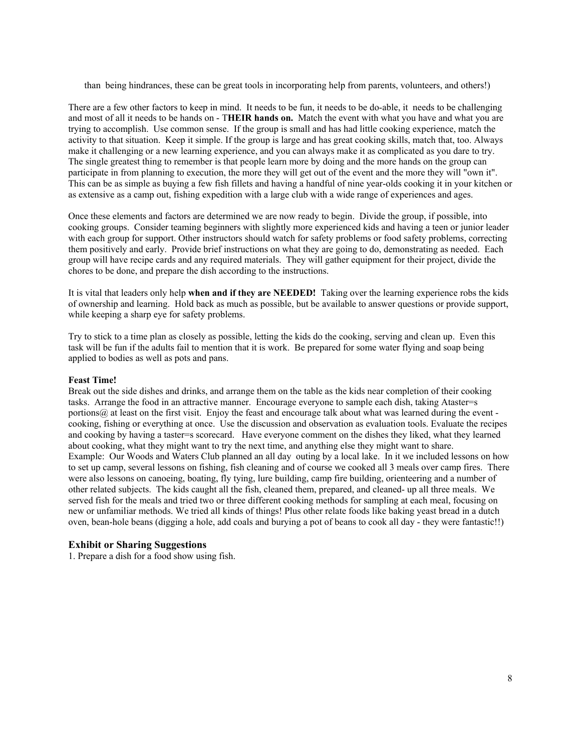than being hindrances, these can be great tools in incorporating help from parents, volunteers, and others!)

There are a few other factors to keep in mind. It needs to be fun, it needs to be do-able, it needs to be challenging and most of all it needs to be hands on - T**HEIR hands on.** Match the event with what you have and what you are trying to accomplish. Use common sense. If the group is small and has had little cooking experience, match the activity to that situation. Keep it simple. If the group is large and has great cooking skills, match that, too. Always make it challenging or a new learning experience, and you can always make it as complicated as you dare to try. The single greatest thing to remember is that people learn more by doing and the more hands on the group can participate in from planning to execution, the more they will get out of the event and the more they will "own it". This can be as simple as buying a few fish fillets and having a handful of nine year-olds cooking it in your kitchen or as extensive as a camp out, fishing expedition with a large club with a wide range of experiences and ages.

Once these elements and factors are determined we are now ready to begin. Divide the group, if possible, into cooking groups. Consider teaming beginners with slightly more experienced kids and having a teen or junior leader with each group for support. Other instructors should watch for safety problems or food safety problems, correcting them positively and early. Provide brief instructions on what they are going to do, demonstrating as needed. Each group will have recipe cards and any required materials. They will gather equipment for their project, divide the chores to be done, and prepare the dish according to the instructions.

It is vital that leaders only help **when and if they are NEEDED!** Taking over the learning experience robs the kids of ownership and learning. Hold back as much as possible, but be available to answer questions or provide support, while keeping a sharp eye for safety problems.

Try to stick to a time plan as closely as possible, letting the kids do the cooking, serving and clean up. Even this task will be fun if the adults fail to mention that it is work. Be prepared for some water flying and soap being applied to bodies as well as pots and pans.

### **Feast Time!**

Break out the side dishes and drinks, and arrange them on the table as the kids near completion of their cooking tasks. Arrange the food in an attractive manner. Encourage everyone to sample each dish, taking Ataster=s portions@ at least on the first visit. Enjoy the feast and encourage talk about what was learned during the event cooking, fishing or everything at once. Use the discussion and observation as evaluation tools. Evaluate the recipes and cooking by having a taster=s scorecard. Have everyone comment on the dishes they liked, what they learned about cooking, what they might want to try the next time, and anything else they might want to share. Example: Our Woods and Waters Club planned an all day outing by a local lake. In it we included lessons on how to set up camp, several lessons on fishing, fish cleaning and of course we cooked all 3 meals over camp fires. There were also lessons on canoeing, boating, fly tying, lure building, camp fire building, orienteering and a number of other related subjects. The kids caught all the fish, cleaned them, prepared, and cleaned- up all three meals. We served fish for the meals and tried two or three different cooking methods for sampling at each meal, focusing on new or unfamiliar methods. We tried all kinds of things! Plus other relate foods like baking yeast bread in a dutch oven, bean-hole beans (digging a hole, add coals and burying a pot of beans to cook all day - they were fantastic!!)

### **Exhibit or Sharing Suggestions**

1. Prepare a dish for a food show using fish.